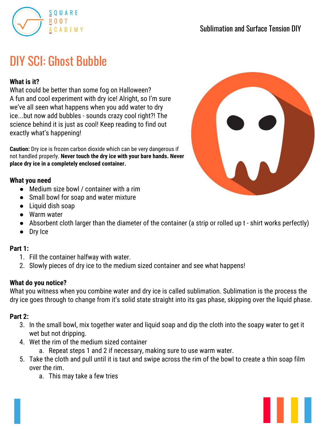

# DIY SCI: Ghost Bubble

## **What is it?**

What could be better than some fog on Halloween? A fun and cool experiment with dry ice! Alright, so I'm sure we've all seen what happens when you add water to dry ice...but now add bubbles - sounds crazy cool right?! The science behind it is just as cool! Keep reading to find out exactly what's happening!

**Caution:** Dry ice is frozen carbon dioxide which can be very dangerous if not handled properly. **Never touch the dry ice with your bare hands. Never place dry ice in a completely enclosed container.**

#### **What you need**

- Medium size bowl / container with a rim
- Small bowl for soap and water mixture
- Liquid dish soap
- Warm water
- Absorbent cloth larger than the diameter of the container (a strip or rolled up t shirt works perfectly)
- Dry Ice

## **Part 1:**

- 1. Fill the container halfway with water.
- 2. Slowly pieces of dry ice to the medium sized container and see what happens!

## **What do you notice?**

What you witness when you combine water and dry ice is called sublimation. Sublimation is the process the dry ice goes through to change from it's solid state straight into its gas phase, skipping over the liquid phase.

#### **Part 2:**

- 3. In the small bowl, mix together water and liquid soap and dip the cloth into the soapy water to get it wet but not dripping.
- 4. Wet the rim of the medium sized container
	- a. Repeat steps 1 and 2 if necessary, making sure to use warm water.
- 5. Take the cloth and pull until it is taut and swipe across the rim of the bowl to create a thin soap film over the rim.
	- a. This may take a few tries